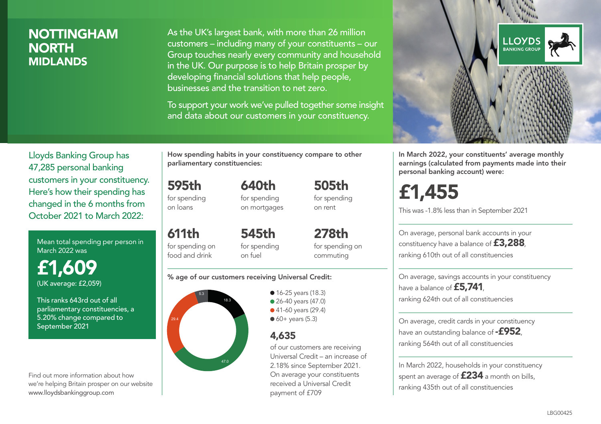## NOTTINGHAM **NORTH** MIDLANDS

As the UK's largest bank, with more than 26 million customers – including many of your constituents – our Group touches nearly every community and household in the UK. Our purpose is to help Britain prosper by developing financial solutions that help people, businesses and the transition to net zero.

To support your work we've pulled together some insight and data about our customers in your constituency.



Mean total spending per person in March 2022 was

£1,609 (UK average: £2,059)

This ranks 643rd out of all parliamentary constituencies, a 5.20% change compared to September 2021

Find out more information about how we're helping Britain prosper on our website www.lloydsbankinggroup.com

How spending habits in your constituency compare to other parliamentary constituencies:

> 640th for spending on mortgages

595th

for spending on loans

611th for spending on food and drink 545th for spending on fuel

278th for spending on commuting

505th for spending on rent

#### % age of our customers receiving Universal Credit:



• 16-25 years (18.3) ● 26-40 years (47.0) ● 41-60 years (29.4)

 $60+$  years (5.3)

## 4,635

of our customers are receiving Universal Credit – an increase of 2.18% since September 2021. On average your constituents received a Universal Credit payment of £709



In March 2022, your constituents' average monthly earnings (calculated from payments made into their personal banking account) were:

£1,455

This was -1.8% less than in September 2021

On average, personal bank accounts in your constituency have a balance of £3,288, ranking 610th out of all constituencies

On average, savings accounts in your constituency have a balance of **£5,741** ranking 624th out of all constituencies

On average, credit cards in your constituency have an outstanding balance of  $-$ £952. ranking 564th out of all constituencies

In March 2022, households in your constituency spent an average of **£234** a month on bills, ranking 435th out of all constituencies